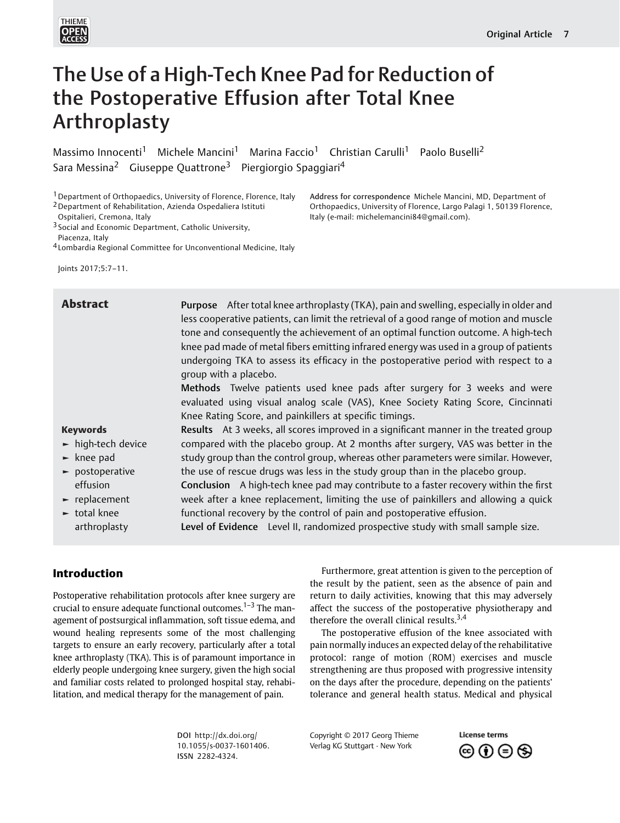

# The Use of a High-Tech Knee Pad for Reduction of the Postoperative Effusion after Total Knee Arthroplasty

Massimo Innocenti<sup>1</sup> Michele Mancini<sup>1</sup> Marina Faccio<sup>1</sup> Christian Carulli<sup>1</sup> Paolo Buselli<sup>2</sup> Sara Messina<sup>2</sup> Giuseppe Quattrone<sup>3</sup> Piergiorgio Spaggiari<sup>4</sup>

<sup>1</sup> Department of Orthopaedics, University of Florence, Florence, Italy

2Department of Rehabilitation, Azienda Ospedaliera Istituti

Ospitalieri, Cremona, Italy

3 Social and Economic Department, Catholic University,

Piacenza, Italy 4 Lombardia Regional Committee for Unconventional Medicine, Italy

Joints 2017;5:7–11.

#### Keywords ► high-tech device ► knee pad ► postoperative effusion ► replacement ► total knee arthroplasty Abstract Purpose After total knee arthroplasty (TKA), pain and swelling, especially in older and less cooperative patients, can limit the retrieval of a good range of motion and muscle tone and consequently the achievement of an optimal function outcome. A high-tech knee pad made of metal fibers emitting infrared energy was used in a group of patients undergoing TKA to assess its efficacy in the postoperative period with respect to a group with a placebo. Methods Twelve patients used knee pads after surgery for 3 weeks and were evaluated using visual analog scale (VAS), Knee Society Rating Score, Cincinnati Knee Rating Score, and painkillers at specific timings. Results At 3 weeks, all scores improved in a significant manner in the treated group compared with the placebo group. At 2 months after surgery, VAS was better in the study group than the control group, whereas other parameters were similar. However, the use of rescue drugs was less in the study group than in the placebo group. Conclusion A high-tech knee pad may contribute to a faster recovery within the first week after a knee replacement, limiting the use of painkillers and allowing a quick functional recovery by the control of pain and postoperative effusion. Level of Evidence Level II, randomized prospective study with small sample size.

# Introduction

Postoperative rehabilitation protocols after knee surgery are crucial to ensure adequate functional outcomes.<sup>1–3</sup> The management of postsurgical inflammation, soft tissue edema, and wound healing represents some of the most challenging targets to ensure an early recovery, particularly after a total knee arthroplasty (TKA). This is of paramount importance in elderly people undergoing knee surgery, given the high social and familiar costs related to prolonged hospital stay, rehabilitation, and medical therapy for the management of pain.

Furthermore, great attention is given to the perception of the result by the patient, seen as the absence of pain and return to daily activities, knowing that this may adversely affect the success of the postoperative physiotherapy and therefore the overall clinical results. $3,4$ 

Address for correspondence Michele Mancini, MD, Department of Orthopaedics, University of Florence, Largo Palagi 1, 50139 Florence,

Italy (e-mail: [michelemancini84@gmail.com\)](mailto:michelemancini84@gmail.com).

The postoperative effusion of the knee associated with pain normally induces an expected delay of the rehabilitative protocol: range of motion (ROM) exercises and muscle strengthening are thus proposed with progressive intensity on the days after the procedure, depending on the patients' tolerance and general health status. Medical and physical

DOI [http://dx.doi.org/](http://dx.doi.org/10.1055/s-0037-1601406) [10.1055/s-0037-1601406](http://dx.doi.org/10.1055/s-0037-1601406). ISSN 2282-4324.

Copyright © 2017 Georg Thieme Verlag KG Stuttgart · New York

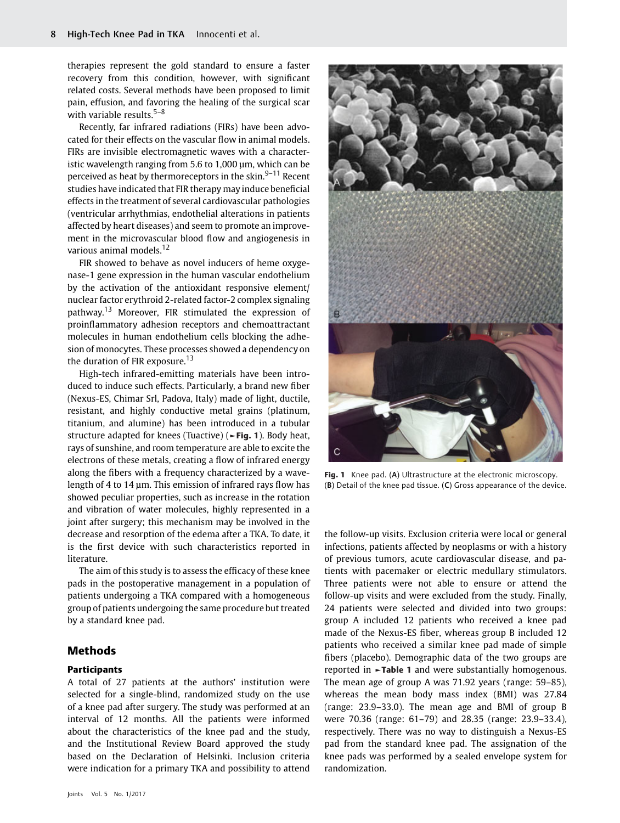therapies represent the gold standard to ensure a faster recovery from this condition, however, with significant related costs. Several methods have been proposed to limit pain, effusion, and favoring the healing of the surgical scar with variable results. $5-8$ 

Recently, far infrared radiations (FIRs) have been advocated for their effects on the vascular flow in animal models. FIRs are invisible electromagnetic waves with a characteristic wavelength ranging from 5.6 to 1,000 μm, which can be perceived as heat by thermoreceptors in the skin. $9-11$  Recent studies have indicated that FIR therapy may induce beneficial effects in the treatment of several cardiovascular pathologies (ventricular arrhythmias, endothelial alterations in patients affected by heart diseases) and seem to promote an improvement in the microvascular blood flow and angiogenesis in various animal models.<sup>12</sup>

FIR showed to behave as novel inducers of heme oxygenase-1 gene expression in the human vascular endothelium by the activation of the antioxidant responsive element/ nuclear factor erythroid 2-related factor-2 complex signaling pathway.<sup>13</sup> Moreover, FIR stimulated the expression of proinflammatory adhesion receptors and chemoattractant molecules in human endothelium cells blocking the adhesion of monocytes. These processes showed a dependency on the duration of FIR exposure.<sup>13</sup>

High-tech infrared-emitting materials have been introduced to induce such effects. Particularly, a brand new fiber (Nexus-ES, Chimar Srl, Padova, Italy) made of light, ductile, resistant, and highly conductive metal grains (platinum, titanium, and alumine) has been introduced in a tubular structure adapted for knees (Tuactive) (►Fig. 1). Body heat, rays of sunshine, and room temperature are able to excite the electrons of these metals, creating a flow of infrared energy along the fibers with a frequency characterized by a wavelength of 4 to 14 μm. This emission of infrared rays flow has showed peculiar properties, such as increase in the rotation and vibration of water molecules, highly represented in a joint after surgery; this mechanism may be involved in the decrease and resorption of the edema after a TKA. To date, it is the first device with such characteristics reported in literature.

The aim of this study is to assess the efficacy of these knee pads in the postoperative management in a population of patients undergoing a TKA compared with a homogeneous group of patients undergoing the same procedure but treated by a standard knee pad.

## Methods

#### **Participants**

A total of 27 patients at the authors' institution were selected for a single-blind, randomized study on the use of a knee pad after surgery. The study was performed at an interval of 12 months. All the patients were informed about the characteristics of the knee pad and the study, and the Institutional Review Board approved the study based on the Declaration of Helsinki. Inclusion criteria were indication for a primary TKA and possibility to attend



Fig. 1 Knee pad. (A) Ultrastructure at the electronic microscopy. (B) Detail of the knee pad tissue. (C) Gross appearance of the device.

the follow-up visits. Exclusion criteria were local or general infections, patients affected by neoplasms or with a history of previous tumors, acute cardiovascular disease, and patients with pacemaker or electric medullary stimulators. Three patients were not able to ensure or attend the follow-up visits and were excluded from the study. Finally, 24 patients were selected and divided into two groups: group A included 12 patients who received a knee pad made of the Nexus-ES fiber, whereas group B included 12 patients who received a similar knee pad made of simple fibers (placebo). Demographic data of the two groups are reported in ►Table 1 and were substantially homogenous. The mean age of group A was 71.92 years (range: 59–85), whereas the mean body mass index (BMI) was 27.84 (range: 23.9–33.0). The mean age and BMI of group B were 70.36 (range: 61–79) and 28.35 (range: 23.9–33.4), respectively. There was no way to distinguish a Nexus-ES pad from the standard knee pad. The assignation of the knee pads was performed by a sealed envelope system for randomization.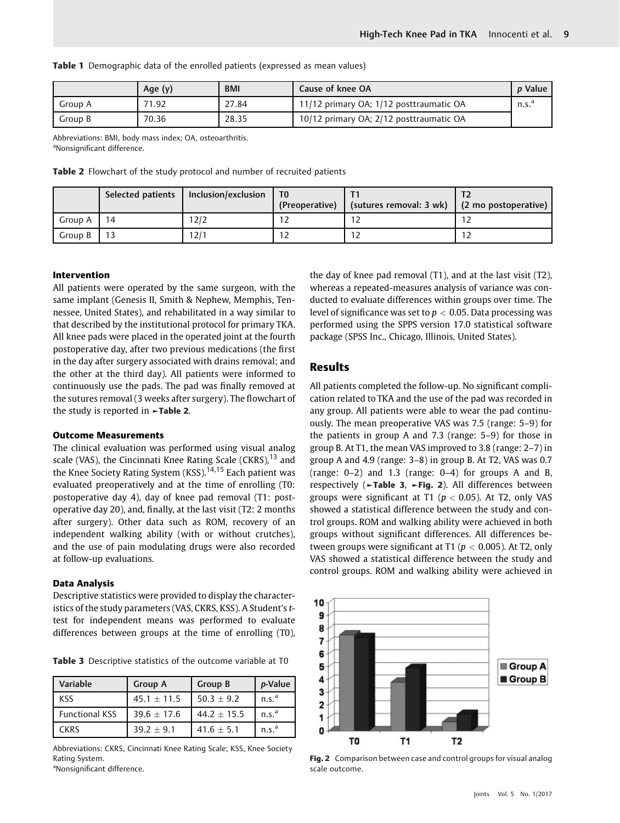Table 1 Demographic data of the enrolled patients (expressed as mean values)

|         | Age (y) | <b>BMI</b> | Cause of knee OA                        | <i>p</i> Value    |
|---------|---------|------------|-----------------------------------------|-------------------|
| Group A | 71.92   | 27.84      | 11/12 primary OA; 1/12 posttraumatic OA | n.s. <sup>a</sup> |
| Group B | 70.36   | 28.35      | 10/12 primary OA; 2/12 posttraumatic OA |                   |

Abbreviations: BMI, body mass index; OA, osteoarthritis. aNonsignificant difference.

Table 2 Flowchart of the study protocol and number of recruited patients

|         |    | Selected patients   Inclusion/exclusion | Τ0<br>(Preoperative) | (sutures removal: 3 wk)   (2 mo postoperative) |  |
|---------|----|-----------------------------------------|----------------------|------------------------------------------------|--|
| Group A | 14 | 12/2                                    |                      |                                                |  |
| Group B |    | 12/1                                    |                      |                                                |  |

#### Intervention

All patients were operated by the same surgeon, with the same implant (Genesis II, Smith & Nephew, Memphis, Tennessee, United States), and rehabilitated in a way similar to that described by the institutional protocol for primary TKA. All knee pads were placed in the operated joint at the fourth postoperative day, after two previous medications (the first in the day after surgery associated with drains removal; and the other at the third day). All patients were informed to continuously use the pads. The pad was finally removed at the sutures removal (3 weeks after surgery). The flowchart of the study is reported in ►Table 2.

#### Outcome Measurements

The clinical evaluation was performed using visual analog scale (VAS), the Cincinnati Knee Rating Scale (CKRS), $^{13}$  and the Knee Society Rating System (KSS).<sup>14,15</sup> Each patient was evaluated preoperatively and at the time of enrolling (T0: postoperative day 4), day of knee pad removal (T1: postoperative day 20), and, finally, at the last visit (T2: 2 months after surgery). Other data such as ROM, recovery of an independent walking ability (with or without crutches), and the use of pain modulating drugs were also recorded at follow-up evaluations.

#### Data Analysis

Descriptive statistics were provided to display the characteristics of the study parameters (VAS, CKRS, KSS). A Student's ttest for independent means was performed to evaluate differences between groups at the time of enrolling (T0),

Table 3 Descriptive statistics of the outcome variable at T0

| Variable              | Group A         | Group B         | p-Value           |  |
|-----------------------|-----------------|-----------------|-------------------|--|
| <b>KSS</b>            | $45.1 \pm 11.5$ | $50.3 + 9.2$    | n.s. <sup>a</sup> |  |
| <b>Functional KSS</b> | $39.6 + 17.6$   | 44.2 $\pm$ 15.5 | n.s. <sup>a</sup> |  |
| <b>CKRS</b>           | $39.2 + 9.1$    | $41.6 \pm 5.1$  | n.s. <sup>a</sup> |  |

Abbreviations: CKRS, Cincinnati Knee Rating Scale; KSS, Knee Society Rating System.

<sup>a</sup>Nonsignificant difference.

the day of knee pad removal (T1), and at the last visit (T2), whereas a repeated-measures analysis of variance was conducted to evaluate differences within groups over time. The level of significance was set to  $p < 0.05$ . Data processing was performed using the SPPS version 17.0 statistical software package (SPSS Inc., Chicago, Illinois, United States).

## Results

All patients completed the follow-up. No significant complication related to TKA and the use of the pad was recorded in any group. All patients were able to wear the pad continuously. The mean preoperative VAS was 7.5 (range: 5–9) for the patients in group A and 7.3 (range: 5–9) for those in group B. At T1, the mean VAS improved to 3.8 (range: 2–7) in group A and 4.9 (range: 3–8) in group B. At T2, VAS was 0.7 (range:  $0-2$ ) and 1.3 (range:  $0-4$ ) for groups A and B, respectively (►Table 3, ►Fig. 2). All differences between groups were significant at T1 ( $p < 0.05$ ). At T2, only VAS showed a statistical difference between the study and control groups. ROM and walking ability were achieved in both groups without significant differences. All differences between groups were significant at T1 ( $p < 0.005$ ). At T2, only VAS showed a statistical difference between the study and control groups. ROM and walking ability were achieved in



Fig. 2 Comparison between case and control groups for visual analog scale outcome.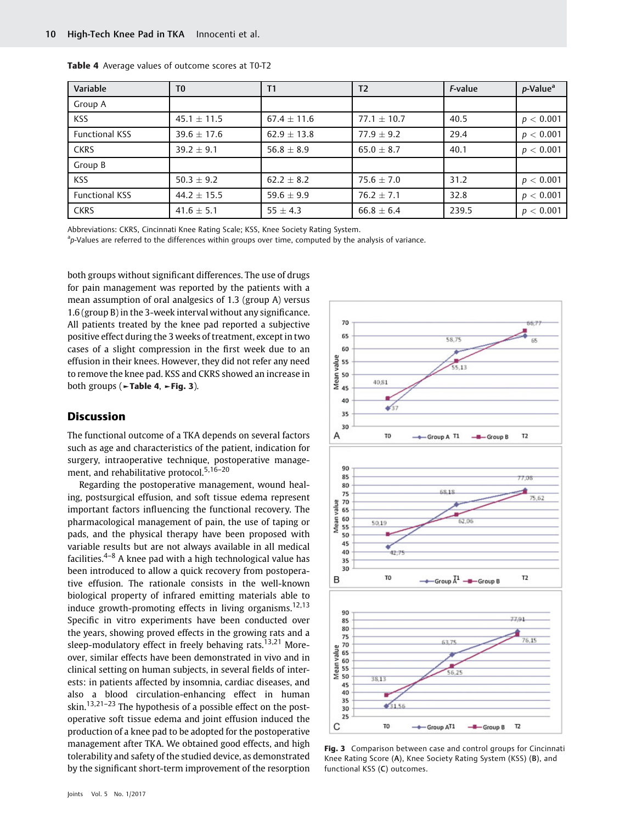| Variable              | T <sub>0</sub>  | Τ1              | T <sub>2</sub>  | <i>F</i> -value | $p$ -Value <sup>a</sup> |
|-----------------------|-----------------|-----------------|-----------------|-----------------|-------------------------|
| Group A               |                 |                 |                 |                 |                         |
| <b>KSS</b>            | $45.1 \pm 11.5$ | $67.4 \pm 11.6$ | $77.1 \pm 10.7$ | 40.5            | p < 0.001               |
| Functional KSS        | $39.6 + 17.6$   | $62.9 \pm 13.8$ | $77.9 + 9.2$    | 29.4            | p < 0.001               |
| <b>CKRS</b>           | $39.2 \pm 9.1$  | 56.8 $\pm$ 8.9  | $65.0 \pm 8.7$  | 40.1            | p < 0.001               |
| Group B               |                 |                 |                 |                 |                         |
| <b>KSS</b>            | $50.3 \pm 9.2$  | $62.2 \pm 8.2$  | $75.6 \pm 7.0$  | 31.2            | p < 0.001               |
| <b>Functional KSS</b> | $44.2 \pm 15.5$ | 59.6 $\pm$ 9.9  | $76.2 \pm 7.1$  | 32.8            | p < 0.001               |
| <b>CKRS</b>           | 41.6 $\pm$ 5.1  | 55 $\pm$ 4.3    | $66.8 \pm 6.4$  | 239.5           | p < 0.001               |

|  |  |  |  | Table 4 Average values of outcome scores at T0-T2 |  |  |  |  |
|--|--|--|--|---------------------------------------------------|--|--|--|--|
|--|--|--|--|---------------------------------------------------|--|--|--|--|

Abbreviations: CKRS, Cincinnati Knee Rating Scale; KSS, Knee Society Rating System.

<sup>a</sup>p-Values are referred to the differences within groups over time, computed by the analysis of variance.

both groups without significant differences. The use of drugs for pain management was reported by the patients with a mean assumption of oral analgesics of 1.3 (group A) versus 1.6 (group B) in the 3-week interval without any significance. All patients treated by the knee pad reported a subjective positive effect during the 3 weeks of treatment, except in two cases of a slight compression in the first week due to an effusion in their knees. However, they did not refer any need to remove the knee pad. KSS and CKRS showed an increase in both groups (►Table 4, ►Fig. 3).

### **Discussion**

The functional outcome of a TKA depends on several factors such as age and characteristics of the patient, indication for surgery, intraoperative technique, postoperative management, and rehabilitative protocol.<sup>5,16-20</sup>

Regarding the postoperative management, wound healing, postsurgical effusion, and soft tissue edema represent important factors influencing the functional recovery. The pharmacological management of pain, the use of taping or pads, and the physical therapy have been proposed with variable results but are not always available in all medical facilities.4–<sup>8</sup> A knee pad with a high technological value has been introduced to allow a quick recovery from postoperative effusion. The rationale consists in the well-known biological property of infrared emitting materials able to induce growth-promoting effects in living organisms.<sup>12,13</sup> Specific in vitro experiments have been conducted over the years, showing proved effects in the growing rats and a sleep-modulatory effect in freely behaving rats.<sup>13,21</sup> Moreover, similar effects have been demonstrated in vivo and in clinical setting on human subjects, in several fields of interests: in patients affected by insomnia, cardiac diseases, and also a blood circulation-enhancing effect in human skin.<sup>13,21–23</sup> The hypothesis of a possible effect on the postoperative soft tissue edema and joint effusion induced the production of a knee pad to be adopted for the postoperative management after TKA. We obtained good effects, and high tolerability and safety of the studied device, as demonstrated by the significant short-term improvement of the resorption



Fig. 3 Comparison between case and control groups for Cincinnati Knee Rating Score (A), Knee Society Rating System (KSS) (B), and functional KSS (C) outcomes.